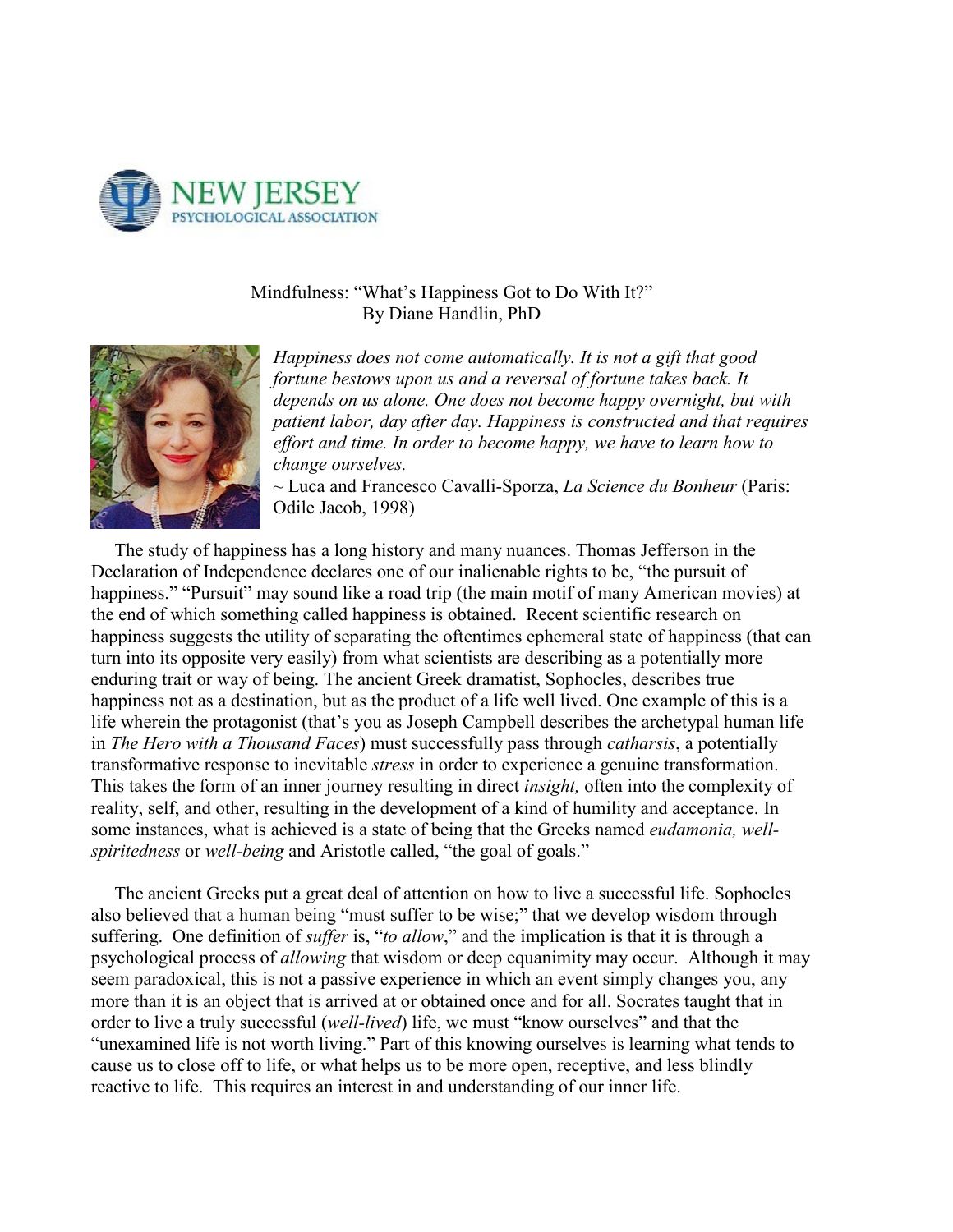

## Mindfulness: "What's Happiness Got to Do With It?" By Diane Handlin, PhD



*Happiness does not come automatically. It is not a gift that good fortune bestows upon us and a reversal of fortune takes back. It depends on us alone. One does not become happy overnight, but with patient labor, day after day. Happiness is constructed and that requires effort and time. In order to become happy, we have to learn how to change ourselves.* 

~ Luca and Francesco Cavalli-Sporza, *La Science du Bonheur* (Paris: Odile Jacob, 1998)

 The study of happiness has a long history and many nuances. Thomas Jefferson in the Declaration of Independence declares one of our inalienable rights to be, "the pursuit of happiness." "Pursuit" may sound like a road trip (the main motif of many American movies) at the end of which something called happiness is obtained. Recent scientific research on happiness suggests the utility of separating the oftentimes ephemeral state of happiness (that can turn into its opposite very easily) from what scientists are describing as a potentially more enduring trait or way of being. The ancient Greek dramatist, Sophocles, describes true happiness not as a destination, but as the product of a life well lived. One example of this is a life wherein the protagonist (that's you as Joseph Campbell describes the archetypal human life in *The Hero with a Thousand Faces*) must successfully pass through *catharsis*, a potentially transformative response to inevitable *stress* in order to experience a genuine transformation. This takes the form of an inner journey resulting in direct *insight,* often into the complexity of reality, self, and other, resulting in the development of a kind of humility and acceptance. In some instances, what is achieved is a state of being that the Greeks named *eudamonia, wellspiritedness* or *well-being* and Aristotle called, "the goal of goals."

 The ancient Greeks put a great deal of attention on how to live a successful life. Sophocles also believed that a human being "must suffer to be wise;" that we develop wisdom through suffering. One definition of *suffer* is, "*to allow*," and the implication is that it is through a psychological process of *allowing* that wisdom or deep equanimity may occur. Although it may seem paradoxical, this is not a passive experience in which an event simply changes you, any more than it is an object that is arrived at or obtained once and for all. Socrates taught that in order to live a truly successful (*well-lived*) life, we must "know ourselves" and that the "unexamined life is not worth living." Part of this knowing ourselves is learning what tends to cause us to close off to life, or what helps us to be more open, receptive, and less blindly reactive to life. This requires an interest in and understanding of our inner life.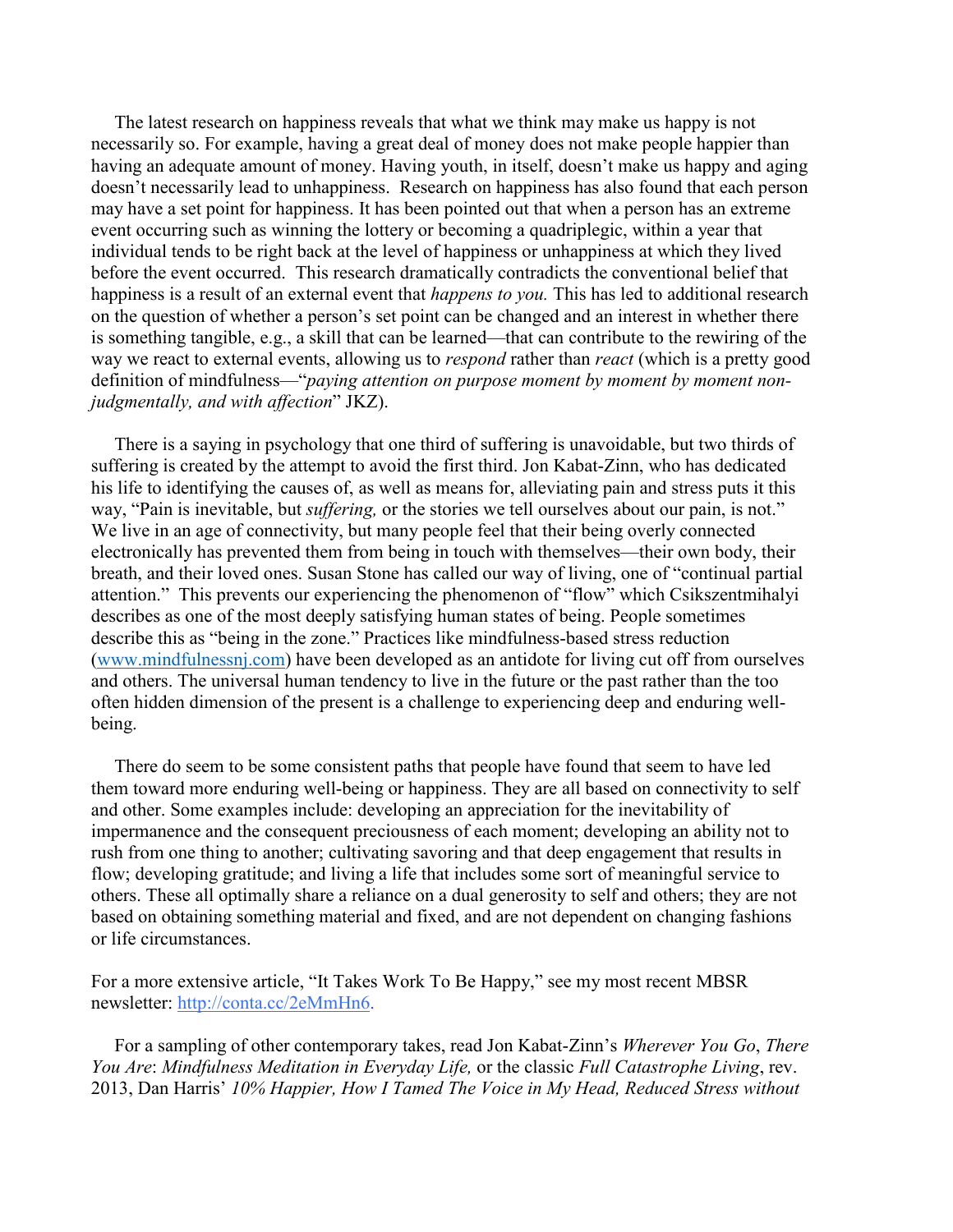The latest research on happiness reveals that what we think may make us happy is not necessarily so. For example, having a great deal of money does not make people happier than having an adequate amount of money. Having youth, in itself, doesn't make us happy and aging doesn't necessarily lead to unhappiness. Research on happiness has also found that each person may have a set point for happiness. It has been pointed out that when a person has an extreme event occurring such as winning the lottery or becoming a quadriplegic, within a year that individual tends to be right back at the level of happiness or unhappiness at which they lived before the event occurred. This research dramatically contradicts the conventional belief that happiness is a result of an external event that *happens to you.* This has led to additional research on the question of whether a person's set point can be changed and an interest in whether there is something tangible, e.g., a skill that can be learned—that can contribute to the rewiring of the way we react to external events, allowing us to *respond* rather than *react* (which is a pretty good definition of mindfulness—"*paying attention on purpose moment by moment by moment nonjudgmentally, and with affection*" JKZ).

 There is a saying in psychology that one third of suffering is unavoidable, but two thirds of suffering is created by the attempt to avoid the first third. Jon Kabat-Zinn, who has dedicated his life to identifying the causes of, as well as means for, alleviating pain and stress puts it this way, "Pain is inevitable, but *suffering,* or the stories we tell ourselves about our pain, is not." We live in an age of connectivity, but many people feel that their being overly connected electronically has prevented them from being in touch with themselves—their own body, their breath, and their loved ones. Susan Stone has called our way of living, one of "continual partial attention." This prevents our experiencing the phenomenon of "flow" which Csikszentmihalyi describes as one of the most deeply satisfying human states of being. People sometimes describe this as "being in the zone." Practices like mindfulness-based stress reduction (www.mindfulnessnj.com) have been developed as an antidote for living cut off from ourselves and others. The universal human tendency to live in the future or the past rather than the too often hidden dimension of the present is a challenge to experiencing deep and enduring wellbeing.

 There do seem to be some consistent paths that people have found that seem to have led them toward more enduring well-being or happiness. They are all based on connectivity to self and other. Some examples include: developing an appreciation for the inevitability of impermanence and the consequent preciousness of each moment; developing an ability not to rush from one thing to another; cultivating savoring and that deep engagement that results in flow; developing gratitude; and living a life that includes some sort of meaningful service to others. These all optimally share a reliance on a dual generosity to self and others; they are not based on obtaining something material and fixed, and are not dependent on changing fashions or life circumstances.

For a more extensive article, "It Takes Work To Be Happy," see my most recent MBSR newsletter: [http://conta.cc/2eMmHn6.](https://welovepg.polymail.io/v1/z/b/NTgwZmRkZGNjYzYz/K83fTulibKsJNka8Rbffnx5gcE97st4neipAhc7zbwMZyMgfONxqNwSiMGWZPTynOj6eBVRGAhemtcVNxN5BnxapTdm87BZMAnMoFk9cw444BS9yWgHb8O9ZdBfKQ1IXeV_jV9uvc6TTjPy9_pUaXm-Hp2LWtpL024CVL-P6kjCCsLlGdiKDJw8XrQ==)

 For a sampling of other contemporary takes, read Jon Kabat-Zinn's *Wherever You Go*, *There You Are*: *Mindfulness Meditation in Everyday Life,* or the classic *Full Catastrophe Living*, rev. 2013, Dan Harris' *10% Happier, How I Tamed The Voice in My Head, Reduced Stress without*